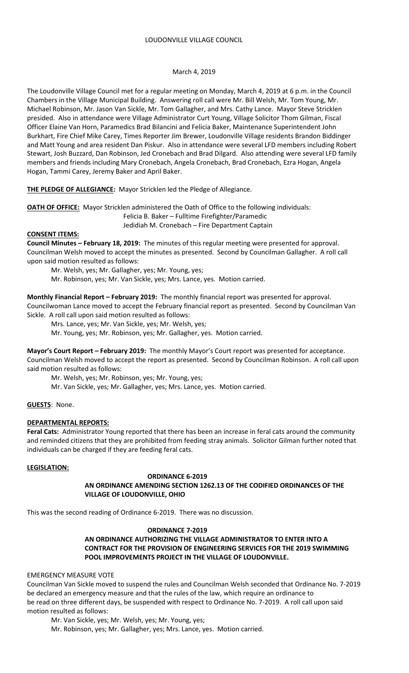# March 4, 2019

The Loudonville Village Council met for a regular meeting on Monday, March 4, 2019 at 6 p.m. in the Council Chambers in the Village Municipal Building. Answering roll call were Mr. Bill Welsh, Mr. Tom Young, Mr. Michael Robinson, Mr. Jason Van Sickle, Mr. Tom Gallagher, and Mrs. Cathy Lance. Mayor Steve Stricklen presided. Also in attendance were Village Administrator Curt Young, Village Solicitor Thom Gilman, Fiscal Officer Elaine Van Horn, Paramedics Brad Bilancini and Felicia Baker, Maintenance Superintendent John Burkhart, Fire Chief Mike Carey, Times Reporter Jim Brewer, Loudonville Village residents Brandon Biddinger and Matt Young and area resident Dan Piskur. Also in attendance were several LFD members including Robert Stewart, Josh Buzzard, Dan Robinson, Jed Cronebach and Brad Dilgard. Also attending were several LFD family members and friends including Mary Cronebach, Angela Cronebach, Brad Cronebach, Ezra Hogan, Angela Hogan, Tammi Carey, Jeremy Baker and April Baker.

**THE PLEDGE OF ALLEGIANCE:** Mayor Stricklen led the Pledge of Allegiance.

**OATH OF OFFICE:** Mayor Stricklen administered the Oath of Office to the following individuals:

Felicia B. Baker – Fulltime Firefighter/Paramedic

Jedidiah M. Cronebach – Fire Department Captain

#### **CONSENT ITEMS:**

**Council Minutes – February 18, 2019:** The minutes of this regular meeting were presented for approval. Councilman Welsh moved to accept the minutes as presented. Second by Councilman Gallagher. A roll call upon said motion resulted as follows:

Mr. Welsh, yes; Mr. Gallagher, yes; Mr. Young, yes;

Mr. Robinson, yes; Mr. Van Sickle, yes; Mrs. Lance, yes. Motion carried.

**Monthly Financial Report – February 2019:** The monthly financial report was presented for approval. Councilwoman Lance moved to accept the February financial report as presented. Second by Councilman Van Sickle. A roll call upon said motion resulted as follows:

Mrs. Lance, yes; Mr. Van Sickle, yes; Mr. Welsh, yes;

Mr. Young, yes; Mr. Robinson, yes; Mr. Gallagher, yes. Motion carried.

**Mayor's Court Report – February 2019:** The monthly Mayor's Court report was presented for acceptance. Councilman Welsh moved to accept the report as presented. Second by Councilman Robinson. A roll call upon said motion resulted as follows:

Mr. Welsh, yes; Mr. Robinson, yes; Mr. Young, yes;

Mr. Van Sickle, yes; Mr. Gallagher, yes; Mrs. Lance, yes. Motion carried.

# **GUESTS**: None.

# **DEPARTMENTAL REPORTS:**

**Feral Cats:** Administrator Young reported that there has been an increase in feral cats around the community and reminded citizens that they are prohibited from feeding stray animals. Solicitor Gilman further noted that individuals can be charged if they are feeding feral cats.

#### **LEGISLATION:**

#### **ORDINANCE 6-2019**

**AN ORDINANCE AMENDING SECTION 1262.13 OF THE CODIFIED ORDINANCES OF THE VILLAGE OF LOUDONVILLE, OHIO**

This was the second reading of Ordinance 6-2019. There was no discussion.

# **ORDINANCE 7-2019**

# **AN ORDINANCE AUTHORIZING THE VILLAGE ADMINISTRATOR TO ENTER INTO A CONTRACT FOR THE PROVISION OF ENGINEERING SERVICES FOR THE 2019 SWIMMING POOL IMPROVEMENTS PROJECT IN THE VILLAGE OF LOUDONVILLE.**

# EMERGENCY MEASURE VOTE

Councilman Van Sickle moved to suspend the rules and Councilman Welsh seconded that Ordinance No. 7-2019 be declared an emergency measure and that the rules of the law, which require an ordinance to be read on three different days, be suspended with respect to Ordinance No. 7-2019. A roll call upon said motion resulted as follows:

Mr. Van Sickle, yes; Mr. Welsh, yes; Mr. Young, yes;

Mr. Robinson, yes; Mr. Gallagher, yes; Mrs. Lance, yes. Motion carried.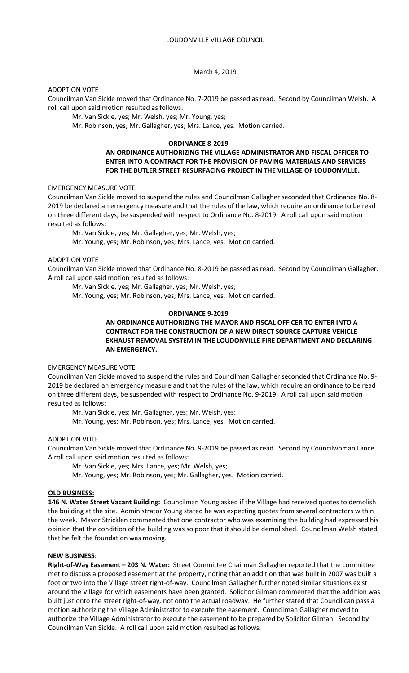March 4, 2019

ADOPTION VOTE

Councilman Van Sickle moved that Ordinance No. 7-2019 be passed as read. Second by Councilman Welsh. A roll call upon said motion resulted as follows:

Mr. Van Sickle, yes; Mr. Welsh, yes; Mr. Young, yes;

Mr. Robinson, yes; Mr. Gallagher, yes; Mrs. Lance, yes. Motion carried.

# **ORDINANCE 8-2019**

# **AN ORDINANCE AUTHORIZING THE VILLAGE ADMINISTRATOR AND FISCAL OFFICER TO ENTER INTO A CONTRACT FOR THE PROVISION OF PAVING MATERIALS AND SERVICES FOR THE BUTLER STREET RESURFACING PROJECT IN THE VILLAGE OF LOUDONVILLE.**

#### EMERGENCY MEASURE VOTE

Councilman Van Sickle moved to suspend the rules and Councilman Gallagher seconded that Ordinance No. 8- 2019 be declared an emergency measure and that the rules of the law, which require an ordinance to be read on three different days, be suspended with respect to Ordinance No. 8-2019. A roll call upon said motion resulted as follows:

Mr. Van Sickle, yes; Mr. Gallagher, yes; Mr. Welsh, yes;

Mr. Young, yes; Mr. Robinson, yes; Mrs. Lance, yes. Motion carried.

#### ADOPTION VOTE

Councilman Van Sickle moved that Ordinance No. 8-2019 be passed as read. Second by Councilman Gallagher. A roll call upon said motion resulted as follows:

Mr. Van Sickle, yes; Mr. Gallagher, yes; Mr. Welsh, yes;

Mr. Young, yes; Mr. Robinson, yes; Mrs. Lance, yes. Motion carried.

# **ORDINANCE 9-2019**

# **AN ORDINANCE AUTHORIZING THE MAYOR AND FISCAL OFFICER TO ENTER INTO A CONTRACT FOR THE CONSTRUCTION OF A NEW DIRECT SOURCE CAPTURE VEHICLE EXHAUST REMOVAL SYSTEM IN THE LOUDONVILLE FIRE DEPARTMENT AND DECLARING AN EMERGENCY.**

# EMERGENCY MEASURE VOTE

Councilman Van Sickle moved to suspend the rules and Councilman Gallagher seconded that Ordinance No. 9- 2019 be declared an emergency measure and that the rules of the law, which require an ordinance to be read on three different days, be suspended with respect to Ordinance No. 9-2019. A roll call upon said motion resulted as follows:

Mr. Van Sickle, yes; Mr. Gallagher, yes; Mr. Welsh, yes;

Mr. Young, yes; Mr. Robinson, yes; Mrs. Lance, yes. Motion carried.

# ADOPTION VOTE

Councilman Van Sickle moved that Ordinance No. 9-2019 be passed as read. Second by Councilwoman Lance. A roll call upon said motion resulted as follows:

Mr. Van Sickle, yes; Mrs. Lance, yes; Mr. Welsh, yes;

Mr. Young, yes; Mr. Robinson, yes; Mr. Gallagher, yes. Motion carried.

# **OLD BUSINESS:**

**146 N. Water Street Vacant Building:** Councilman Young asked if the Village had received quotes to demolish the building at the site. Administrator Young stated he was expecting quotes from several contractors within the week. Mayor Stricklen commented that one contractor who was examining the building had expressed his opinion that the condition of the building was so poor that it should be demolished. Councilman Welsh stated that he felt the foundation was moving.

#### **NEW BUSINESS**:

**Right-of-Way Easement – 203 N. Water:** Street Committee Chairman Gallagher reported that the committee met to discuss a proposed easement at the property, noting that an addition that was built in 2007 was built a foot or two into the Village street right-of-way. Councilman Gallagher further noted similar situations exist around the Village for which easements have been granted. Solicitor Gilman commented that the addition was built just onto the street right-of-way, not onto the actual roadway. He further stated that Council can pass a motion authorizing the Village Administrator to execute the easement. Councilman Gallagher moved to authorize the Village Administrator to execute the easement to be prepared by Solicitor Gilman. Second by Councilman Van Sickle. A roll call upon said motion resulted as follows: